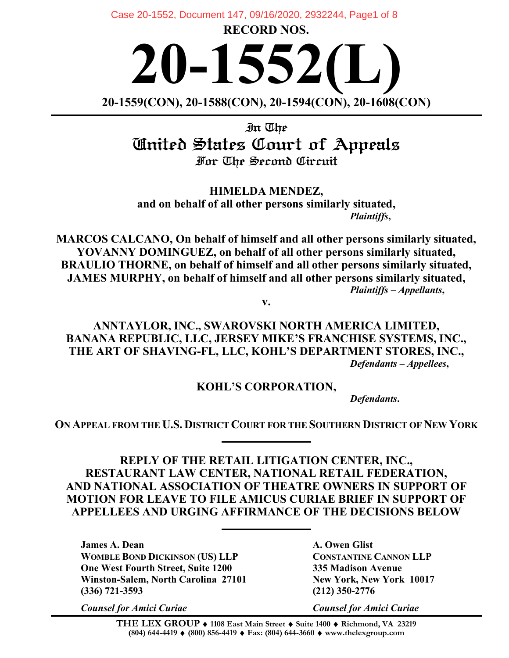**RECORD NOS.**  Case 20-1552, Document 147, 09/16/2020, 2932244, Page1 of 8

**20-1552(L) 20-1559(CON), 20-1588(CON), 20-1594(CON), 20-1608(CON)**

In The United States Court of Appeals For The Second Circuit

**HIMELDA MENDEZ, and on behalf of all other persons similarly situated,** *Plaintiffs***,**

**MARCOS CALCANO, On behalf of himself and all other persons similarly situated, YOVANNY DOMINGUEZ, on behalf of all other persons similarly situated, BRAULIO THORNE, on behalf of himself and all other persons similarly situated, JAMES MURPHY, on behalf of himself and all other persons similarly situated,** *Plaintiffs – Appellants***,**

**v.**

**ANNTAYLOR, INC., SWAROVSKI NORTH AMERICA LIMITED, BANANA REPUBLIC, LLC, JERSEY MIKE'S FRANCHISE SYSTEMS, INC., THE ART OF SHAVING-FL, LLC, KOHL'S DEPARTMENT STORES, INC.,** *Defendants – Appellees***,**

**KOHL'S CORPORATION,**

*Defendants***.**

**ON APPEAL FROM THE U.S. DISTRICT COURT FOR THE SOUTHERN DISTRICT OF NEW YORK**

**REPLY OF THE RETAIL LITIGATION CENTER, INC., RESTAURANT LAW CENTER, NATIONAL RETAIL FEDERATION, AND NATIONAL ASSOCIATION OF THEATRE OWNERS IN SUPPORT OF MOTION FOR LEAVE TO FILE AMICUS CURIAE BRIEF IN SUPPORT OF APPELLEES AND URGING AFFIRMANCE OF THE DECISIONS BELOW**

**James A. Dean A. Owen Glist WOMBLE BOND DICKINSON (US) LLP CONSTANTINE CANNON LLP One West Fourth Street, Suite 1200 335 Madison Avenue Winston-Salem, North Carolina 27101 New York, New York 10017 (336) 721-3593 (212) 350-2776**

*Counsel for Amici Curiae Counsel for Amici Curiae*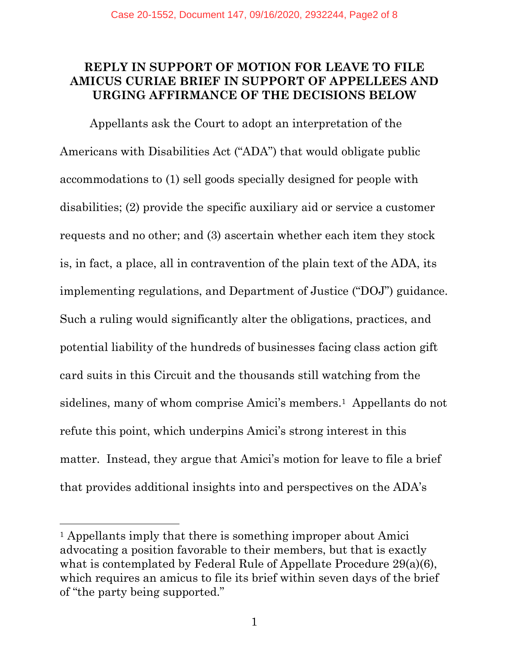## **REPLY IN SUPPORT OF MOTION FOR LEAVE TO FILE AMICUS CURIAE BRIEF IN SUPPORT OF APPELLEES AND URGING AFFIRMANCE OF THE DECISIONS BELOW**

Appellants ask the Court to adopt an interpretation of the Americans with Disabilities Act ("ADA") that would obligate public accommodations to (1) sell goods specially designed for people with disabilities; (2) provide the specific auxiliary aid or service a customer requests and no other; and (3) ascertain whether each item they stock is, in fact, a place, all in contravention of the plain text of the ADA, its implementing regulations, and Department of Justice ("DOJ") guidance. Such a ruling would significantly alter the obligations, practices, and potential liability of the hundreds of businesses facing class action gift card suits in this Circuit and the thousands still watching from the sidelines, many of whom comprise Amici's members.1 Appellants do not refute this point, which underpins Amici's strong interest in this matter. Instead, they argue that Amici's motion for leave to file a brief that provides additional insights into and perspectives on the ADA's

<sup>&</sup>lt;sup>1</sup> Appellants imply that there is something improper about Amici advocating a position favorable to their members, but that is exactly what is contemplated by Federal Rule of Appellate Procedure 29(a)(6), which requires an amicus to file its brief within seven days of the brief of "the party being supported."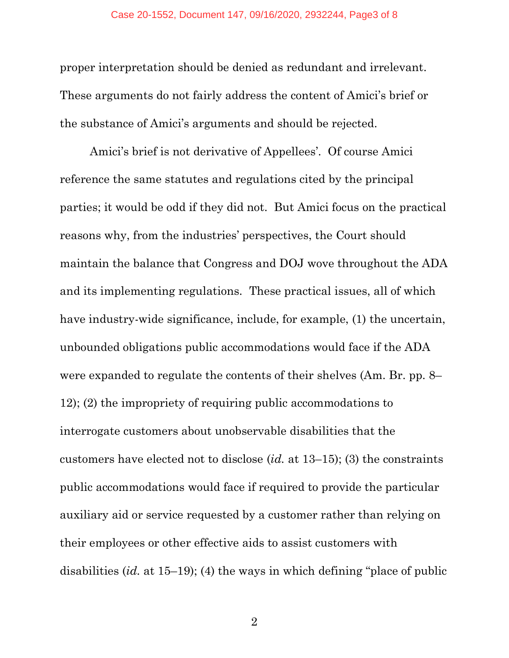proper interpretation should be denied as redundant and irrelevant. These arguments do not fairly address the content of Amici's brief or the substance of Amici's arguments and should be rejected.

Amici's brief is not derivative of Appellees'. Of course Amici reference the same statutes and regulations cited by the principal parties; it would be odd if they did not. But Amici focus on the practical reasons why, from the industries' perspectives, the Court should maintain the balance that Congress and DOJ wove throughout the ADA and its implementing regulations. These practical issues, all of which have industry-wide significance, include, for example, (1) the uncertain, unbounded obligations public accommodations would face if the ADA were expanded to regulate the contents of their shelves (Am. Br. pp. 8– 12); (2) the impropriety of requiring public accommodations to interrogate customers about unobservable disabilities that the customers have elected not to disclose (*id.* at 13–15); (3) the constraints public accommodations would face if required to provide the particular auxiliary aid or service requested by a customer rather than relying on their employees or other effective aids to assist customers with disabilities (*id.* at 15–19); (4) the ways in which defining "place of public

2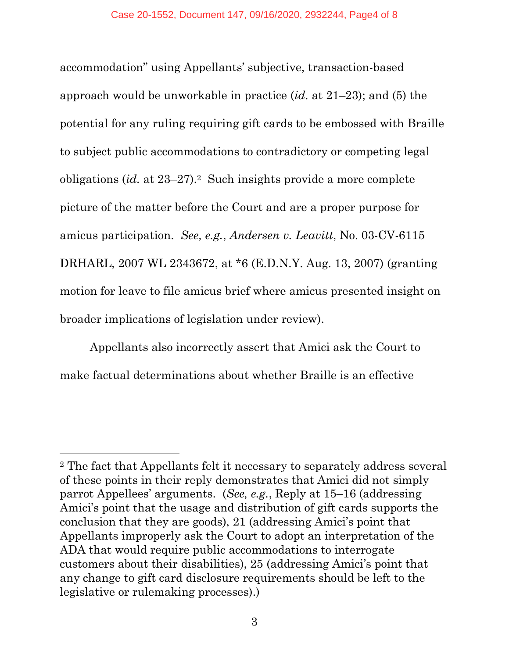accommodation" using Appellants' subjective, transaction-based approach would be unworkable in practice (*id.* at 21–23); and (5) the potential for any ruling requiring gift cards to be embossed with Braille to subject public accommodations to contradictory or competing legal obligations (*id.* at 23–27).2 Such insights provide a more complete picture of the matter before the Court and are a proper purpose for amicus participation. *See, e.g.*, *Andersen v. Leavitt*, No. 03-CV-6115 DRHARL, 2007 WL 2343672, at \*6 (E.D.N.Y. Aug. 13, 2007) (granting motion for leave to file amicus brief where amicus presented insight on broader implications of legislation under review).

Appellants also incorrectly assert that Amici ask the Court to make factual determinations about whether Braille is an effective

<sup>2</sup> The fact that Appellants felt it necessary to separately address several of these points in their reply demonstrates that Amici did not simply parrot Appellees' arguments. (*See, e.g.*, Reply at 15–16 (addressing Amici's point that the usage and distribution of gift cards supports the conclusion that they are goods), 21 (addressing Amici's point that Appellants improperly ask the Court to adopt an interpretation of the ADA that would require public accommodations to interrogate customers about their disabilities), 25 (addressing Amici's point that any change to gift card disclosure requirements should be left to the legislative or rulemaking processes).)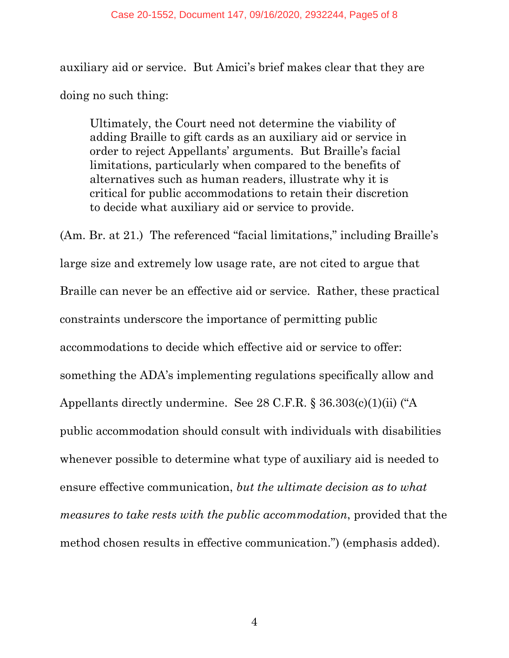auxiliary aid or service. But Amici's brief makes clear that they are doing no such thing:

Ultimately, the Court need not determine the viability of adding Braille to gift cards as an auxiliary aid or service in order to reject Appellants' arguments. But Braille's facial limitations, particularly when compared to the benefits of alternatives such as human readers, illustrate why it is critical for public accommodations to retain their discretion to decide what auxiliary aid or service to provide.

(Am. Br. at 21.) The referenced "facial limitations," including Braille's large size and extremely low usage rate, are not cited to argue that Braille can never be an effective aid or service. Rather, these practical constraints underscore the importance of permitting public accommodations to decide which effective aid or service to offer: something the ADA's implementing regulations specifically allow and Appellants directly undermine. See 28 C.F.R. § 36.303(c)(1)(ii) ("A public accommodation should consult with individuals with disabilities whenever possible to determine what type of auxiliary aid is needed to ensure effective communication, *but the ultimate decision as to what measures to take rests with the public accommodation*, provided that the method chosen results in effective communication.") (emphasis added).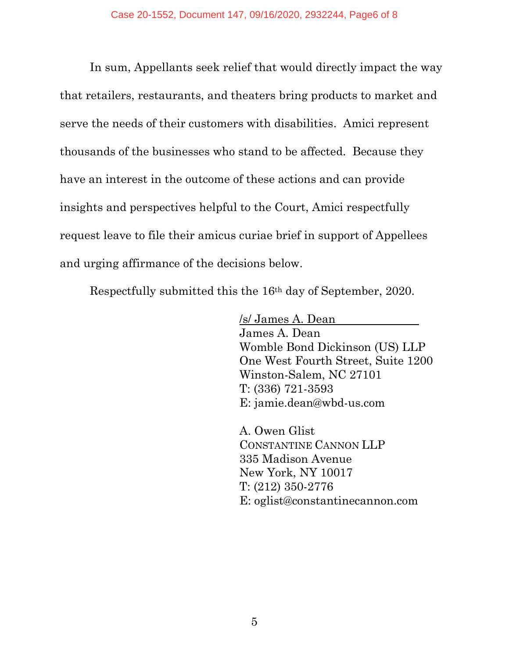In sum, Appellants seek relief that would directly impact the way that retailers, restaurants, and theaters bring products to market and serve the needs of their customers with disabilities. Amici represent thousands of the businesses who stand to be affected. Because they have an interest in the outcome of these actions and can provide insights and perspectives helpful to the Court, Amici respectfully request leave to file their amicus curiae brief in support of Appellees and urging affirmance of the decisions below.

Respectfully submitted this the 16th day of September, 2020.

/s/ James A. Dean James A. Dean Womble Bond Dickinson (US) LLP One West Fourth Street, Suite 1200 Winston-Salem, NC 27101 T: (336) 721-3593 E: jamie.dean@wbd-us.com

A. Owen Glist CONSTANTINE CANNON LLP 335 Madison Avenue New York, NY 10017 T: (212) 350-2776 E: oglist@constantinecannon.com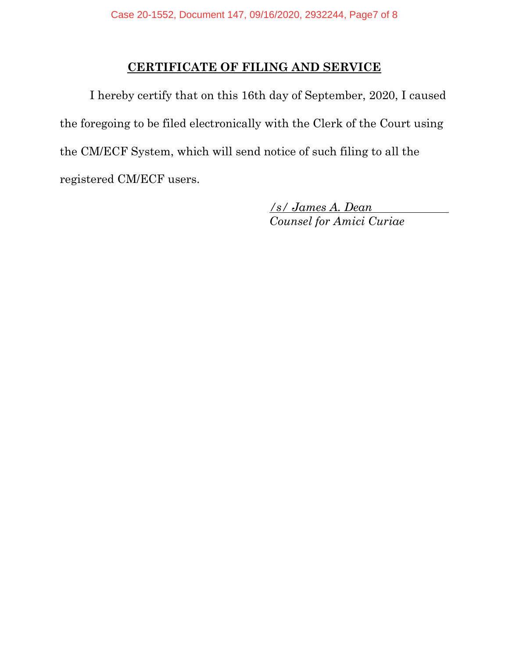## **CERTIFICATE OF FILING AND SERVICE**

I hereby certify that on this 16th day of September, 2020, I caused the foregoing to be filed electronically with the Clerk of the Court using the CM/ECF System, which will send notice of such filing to all the registered CM/ECF users.

> */s/ James A. Dean Counsel for Amici Curiae*